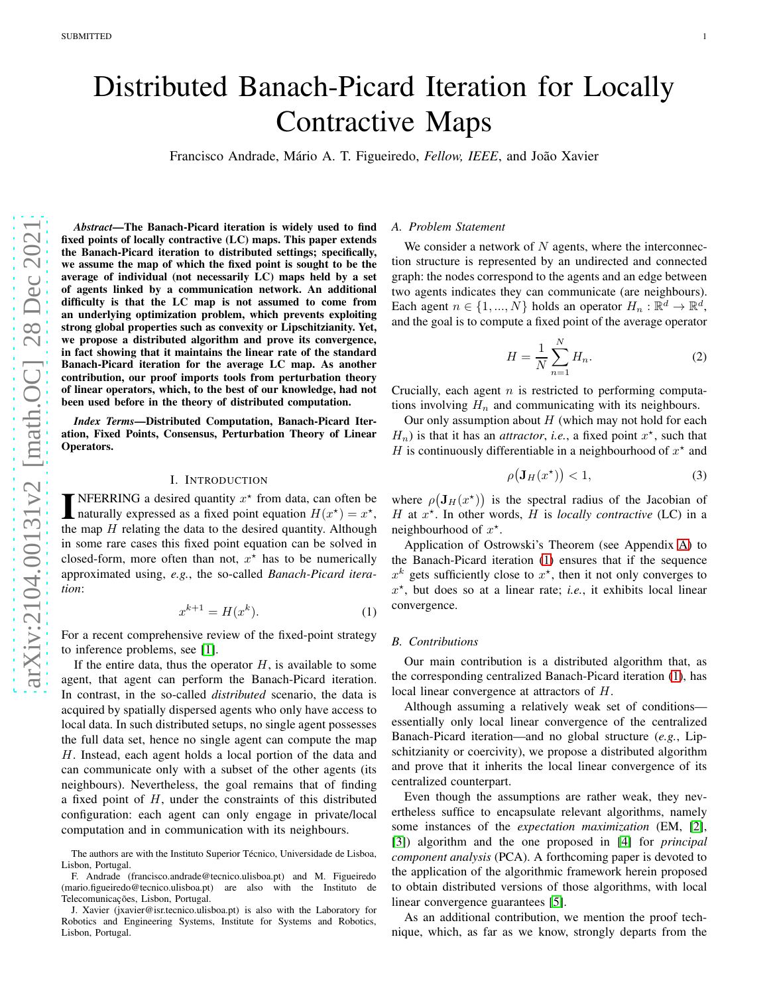# Distributed Banach-Picard Iteration for Locally Contractive Maps

Francisco Andrade, Mário A. T. Figueiredo, *Fellow, IEEE*, and João Xavier

*Abstract*—The Banach-Picard iteration is widely used to find fixed points of locally contractive (LC) maps. This paper extends the Banach-Picard iteration to distributed settings; specifically, we assume the map of which the fixed point is sought to be the average of individual (not necessarily LC) maps held by a set of agents linked by a communication network. An additional difficulty is that the LC map is not assumed to come from an underlying optimization problem, which prevents exploiting strong global properties such as convexity or Lipschitzianity. Yet, we propose a distributed algorithm and prove its convergence, in fact showing that it maintains the linear rate of the standard Banach-Picard iteration for the average LC map. As another contribution, our proof imports tools from perturbation theory of linear operators, which, to the best of our knowledge, had not been used before in the theory of distributed computation.

*Index Terms*—Distributed Computation, Banach-Picard Iteration, Fixed Points, Consensus, Perturbation Theory of Linear Operators.

### I. INTRODUCTION

**INFERRING** a desired quantity  $x^*$  from data, can often be naturally expressed as a fixed point equation  $H(x^*) = x^*$ , naturally expressed as a fixed point equation  $H(x^*) = x^*$ , the map  $H$  relating the data to the desired quantity. Although in some rare cases this fixed point equation can be solved in closed-form, more often than not,  $x^*$  has to be numerically approximated using, *e.g.*, the so-called *Banach-Picard iteration*:

$$
x^{k+1} = H(x^k). \tag{1}
$$

For a recent comprehensive review of the fixed-point strategy to inference problems, see [\[1\]](#page-6-0).

If the entire data, thus the operator  $H$ , is available to some agent, that agent can perform the Banach-Picard iteration. In contrast, in the so-called *distributed* scenario, the data is acquired by spatially dispersed agents who only have access to local data. In such distributed setups, no single agent possesses the full data set, hence no single agent can compute the map H. Instead, each agent holds a local portion of the data and can communicate only with a subset of the other agents (its neighbours). Nevertheless, the goal remains that of finding a fixed point of  $H$ , under the constraints of this distributed configuration: each agent can only engage in private/local computation and in communication with its neighbours.

#### *A. Problem Statement*

We consider a network of  $N$  agents, where the interconnection structure is represented by an undirected and connected graph: the nodes correspond to the agents and an edge between two agents indicates they can communicate (are neighbours). Each agent  $n \in \{1, ..., N\}$  holds an operator  $H_n : \mathbb{R}^d \to \mathbb{R}^d$ , and the goal is to compute a fixed point of the average operator

<span id="page-0-2"></span>
$$
H = \frac{1}{N} \sum_{n=1}^{N} H_n.
$$
 (2)

Crucially, each agent  $n$  is restricted to performing computations involving  $H_n$  and communicating with its neighbours.

Our only assumption about  $H$  (which may not hold for each  $H_n$ ) is that it has an *attractor*, *i.e.*, a fixed point  $x^*$ , such that H is continuously differentiable in a neighbourhood of  $x^*$  and

<span id="page-0-1"></span>
$$
\rho(\mathbf{J}_H(x^\star)) < 1,\tag{3}
$$

where  $\rho(\mathbf{J}_H(x^*))$  is the spectral radius of the Jacobian of H at  $x^*$ . In other words, H is *locally contractive* (LC) in a neighbourhood of  $x^*$ .

Application of Ostrowski's Theorem (see Appendix [A\)](#page-5-0) to the Banach-Picard iteration [\(1\)](#page-0-0) ensures that if the sequence  $x^k$  gets sufficiently close to  $x^*$ , then it not only converges to  $x^*$ , but does so at a linear rate; *i.e.*, it exhibits local linear convergence.

### <span id="page-0-0"></span>*B. Contributions*

Our main contribution is a distributed algorithm that, as the corresponding centralized Banach-Picard iteration [\(1\)](#page-0-0), has local linear convergence at attractors of H.

Although assuming a relatively weak set of conditions essentially only local linear convergence of the centralized Banach-Picard iteration—and no global structure (*e.g.*, Lipschitzianity or coercivity), we propose a distributed algorithm and prove that it inherits the local linear convergence of its centralized counterpart.

Even though the assumptions are rather weak, they nevertheless suffice to encapsulate relevant algorithms, namely some instances of the *expectation maximization* (EM, [\[2\]](#page-6-1), [\[3\]](#page-6-2)) algorithm and the one proposed in [\[4\]](#page-6-3) for *principal component analysis* (PCA). A forthcoming paper is devoted to the application of the algorithmic framework herein proposed to obtain distributed versions of those algorithms, with local linear convergence guarantees [\[5\]](#page-6-4).

As an additional contribution, we mention the proof technique, which, as far as we know, strongly departs from the

The authors are with the Instituto Superior Técnico, Universidade de Lisboa, Lisbon, Portugal.

F. Andrade (francisco.andrade@tecnico.ulisboa.pt) and M. Figueiredo (mario.figueiredo@tecnico.ulisboa.pt) are also with the Instituto de Telecomunicações, Lisbon, Portugal.

J. Xavier (jxavier@isr.tecnico.ulisboa.pt) is also with the Laboratory for Robotics and Engineering Systems, Institute for Systems and Robotics, Lisbon, Portugal.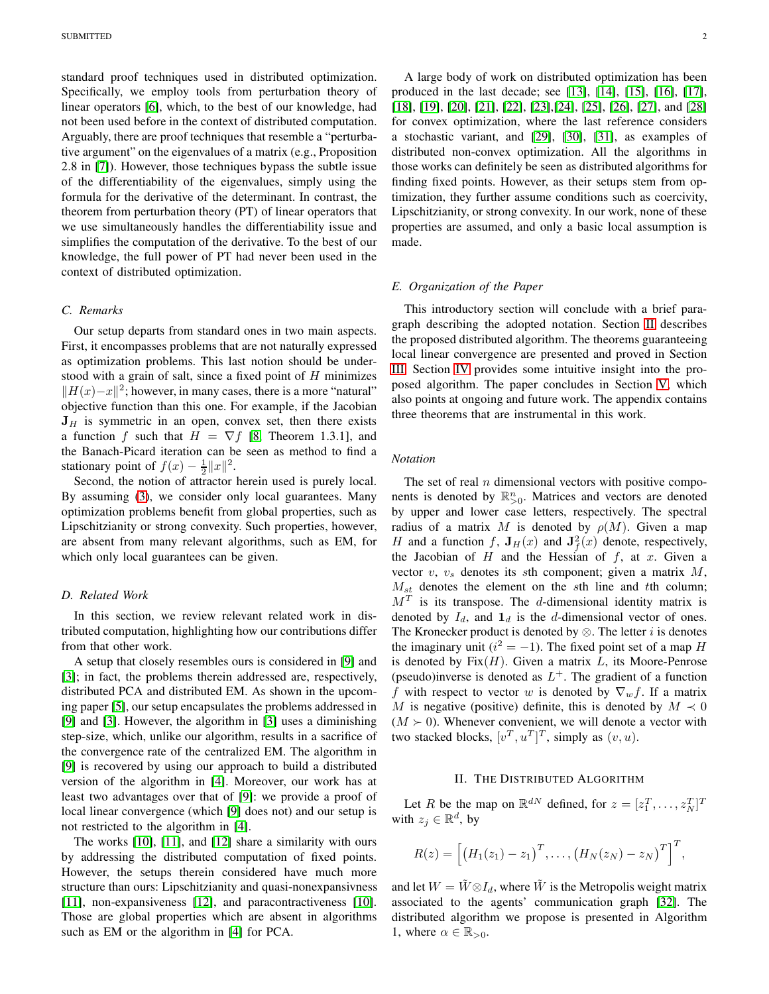standard proof techniques used in distributed optimization. Specifically, we employ tools from perturbation theory of linear operators [\[6\]](#page-6-5), which, to the best of our knowledge, had not been used before in the context of distributed computation. Arguably, there are proof techniques that resemble a "perturbative argument" on the eigenvalues of a matrix (e.g., Proposition 2.8 in [\[7\]](#page-6-6)). However, those techniques bypass the subtle issue of the differentiability of the eigenvalues, simply using the formula for the derivative of the determinant. In contrast, the theorem from perturbation theory (PT) of linear operators that we use simultaneously handles the differentiability issue and simplifies the computation of the derivative. To the best of our knowledge, the full power of PT had never been used in the context of distributed optimization.

## *C. Remarks*

Our setup departs from standard ones in two main aspects. First, it encompasses problems that are not naturally expressed as optimization problems. This last notion should be understood with a grain of salt, since a fixed point of  $H$  minimizes  $||H(x)-x||^2$ ; however, in many cases, there is a more "natural" objective function than this one. For example, if the Jacobian  $J_H$  is symmetric in an open, convex set, then there exists a function f such that  $H = \nabla f$  [\[8,](#page-6-7) Theorem 1.3.1], and the Banach-Picard iteration can be seen as method to find a stationary point of  $f(x) - \frac{1}{2} ||x||^2$ .

Second, the notion of attractor herein used is purely local. By assuming [\(3\)](#page-0-1), we consider only local guarantees. Many optimization problems benefit from global properties, such as Lipschitzianity or strong convexity. Such properties, however, are absent from many relevant algorithms, such as EM, for which only local guarantees can be given.

#### *D. Related Work*

In this section, we review relevant related work in distributed computation, highlighting how our contributions differ from that other work.

A setup that closely resembles ours is considered in [\[9\]](#page-6-8) and [\[3\]](#page-6-2); in fact, the problems therein addressed are, respectively, distributed PCA and distributed EM. As shown in the upcoming paper [\[5\]](#page-6-4), our setup encapsulates the problems addressed in [\[9\]](#page-6-8) and [\[3\]](#page-6-2). However, the algorithm in [\[3\]](#page-6-2) uses a diminishing step-size, which, unlike our algorithm, results in a sacrifice of the convergence rate of the centralized EM. The algorithm in [\[9\]](#page-6-8) is recovered by using our approach to build a distributed version of the algorithm in [\[4\]](#page-6-3). Moreover, our work has at least two advantages over that of [\[9\]](#page-6-8): we provide a proof of local linear convergence (which [\[9\]](#page-6-8) does not) and our setup is not restricted to the algorithm in [\[4\]](#page-6-3).

The works [\[10\]](#page-6-9), [\[11\]](#page-6-10), and [\[12\]](#page-6-11) share a similarity with ours by addressing the distributed computation of fixed points. However, the setups therein considered have much more structure than ours: Lipschitzianity and quasi-nonexpansivness [\[11\]](#page-6-10), non-expansiveness [\[12\]](#page-6-11), and paracontractiveness [\[10\]](#page-6-9). Those are global properties which are absent in algorithms such as EM or the algorithm in [\[4\]](#page-6-3) for PCA.

A large body of work on distributed optimization has been produced in the last decade; see [\[13\]](#page-6-12), [\[14\]](#page-6-13), [\[15\]](#page-6-14), [\[16\]](#page-6-15), [\[17\]](#page-6-16), [\[18\]](#page-6-17), [\[19\]](#page-6-18), [\[20\]](#page-6-19), [\[21\]](#page-6-20), [\[22\]](#page-6-21), [\[23\]](#page-6-22),[\[24\]](#page-6-23), [\[25\]](#page-6-24), [\[26\]](#page-6-25), [\[27\]](#page-6-26), and [\[28\]](#page-6-27) for convex optimization, where the last reference considers a stochastic variant, and [\[29\]](#page-6-28), [\[30\]](#page-6-29), [\[31\]](#page-6-30), as examples of distributed non-convex optimization. All the algorithms in those works can definitely be seen as distributed algorithms for finding fixed points. However, as their setups stem from optimization, they further assume conditions such as coercivity, Lipschitzianity, or strong convexity. In our work, none of these properties are assumed, and only a basic local assumption is made.

## *E. Organization of the Paper*

This introductory section will conclude with a brief paragraph describing the adopted notation. Section [II](#page-1-0) describes the proposed distributed algorithm. The theorems guaranteeing local linear convergence are presented and proved in Section [III.](#page-2-0) Section [IV](#page-5-1) provides some intuitive insight into the proposed algorithm. The paper concludes in Section [V,](#page-5-2) which also points at ongoing and future work. The appendix contains three theorems that are instrumental in this work.

## *Notation*

The set of real  $n$  dimensional vectors with positive components is denoted by  $\mathbb{R}_{>0}^n$ . Matrices and vectors are denoted by upper and lower case letters, respectively. The spectral radius of a matrix M is denoted by  $\rho(M)$ . Given a map H and a function f,  $J_H(x)$  and  $J_f^2(x)$  denote, respectively, the Jacobian of  $H$  and the Hessian of  $f$ , at  $x$ . Given a vector  $v$ ,  $v<sub>s</sub>$  denotes its sth component; given a matrix  $M$ ,  $M_{st}$  denotes the element on the sth line and tth column;  $M<sup>T</sup>$  is its transpose. The d-dimensional identity matrix is denoted by  $I_d$ , and  $\mathbf{1}_d$  is the d-dimensional vector of ones. The Kronecker product is denoted by  $\otimes$ . The letter *i* is denotes the imaginary unit ( $i^2 = -1$ ). The fixed point set of a map H is denoted by  $Fix(H)$ . Given a matrix L, its Moore-Penrose (pseudo)inverse is denoted as  $L^+$ . The gradient of a function f with respect to vector w is denoted by  $\nabla_w f$ . If a matrix M is negative (positive) definite, this is denoted by  $M \prec 0$  $(M \succ 0)$ . Whenever convenient, we will denote a vector with two stacked blocks,  $[v^T, u^T]^T$ , simply as  $(v, u)$ .

## II. THE DISTRIBUTED ALGORITHM

<span id="page-1-0"></span>Let R be the map on  $\mathbb{R}^{dN}$  defined, for  $z = [z_1^T, \dots, z_N^T]^T$ with  $z_j \in \mathbb{R}^d$ , by

$$
R(z) = [(H_1(z_1) - z_1)^T, \ldots, (H_N(z_N) - z_N)^T]^T,
$$

and let  $W = \tilde{W} \otimes I_d$ , where  $\tilde{W}$  is the Metropolis weight matrix associated to the agents' communication graph [\[32\]](#page-6-31). The distributed algorithm we propose is presented in Algorithm 1, where  $\alpha \in \mathbb{R}_{>0}$ .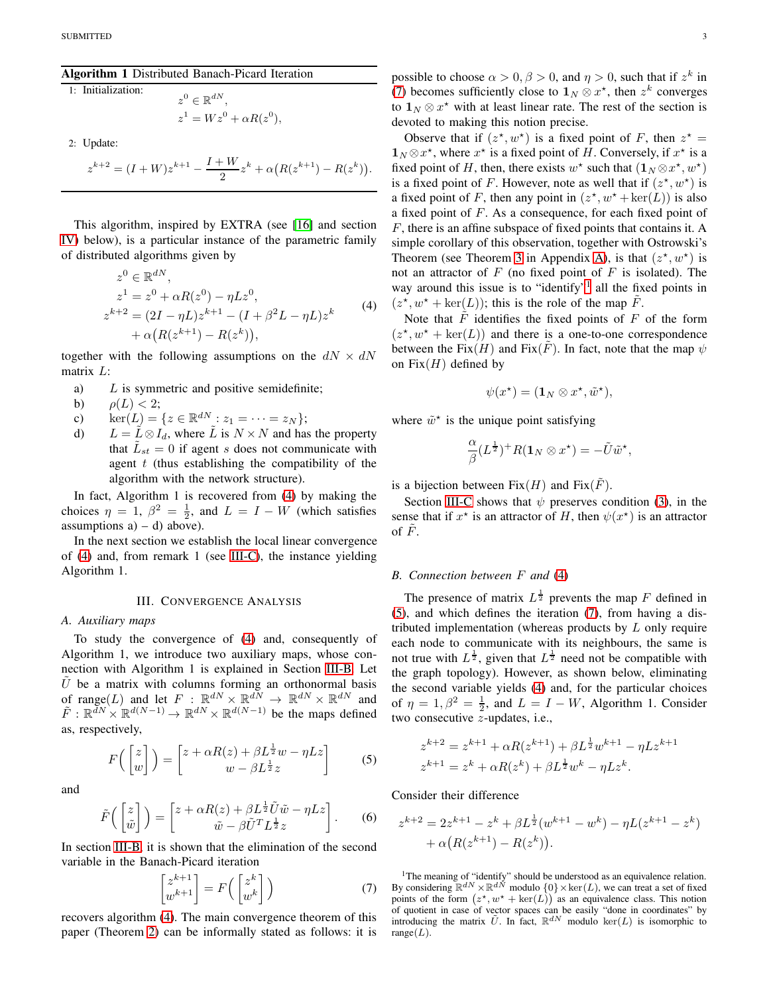#### Algorithm 1 Distributed Banach-Picard Iteration

1: Initialization:

$$
z^{0} \in \mathbb{R}^{dN},
$$
  
\n
$$
z^{1} = Wz^{0} + \alpha R(z^{0}),
$$

2: Update:

$$
z^{k+2} = (I + W)z^{k+1} - \frac{I + W}{2}z^{k} + \alpha (R(z^{k+1}) - R(z^{k})).
$$

This algorithm, inspired by EXTRA (see [\[16\]](#page-6-15) and section [IV\)](#page-5-1) below), is a particular instance of the parametric family of distributed algorithms given by

<span id="page-2-1"></span>
$$
z^{0} \in \mathbb{R}^{dN},
$$
  
\n
$$
z^{1} = z^{0} + \alpha R(z^{0}) - \eta L z^{0},
$$
  
\n
$$
z^{k+2} = (2I - \eta L)z^{k+1} - (I + \beta^{2} L - \eta L)z^{k}
$$
  
\n
$$
+ \alpha (R(z^{k+1}) - R(z^{k})),
$$
\n(4)

together with the following assumptions on the  $dN \times dN$ matrix L:

- a)  $L$  is symmetric and positive semidefinite;
- b)  $\rho(L) < 2$ ;
- c)  $\ker(L) = \{z \in \mathbb{R}^{dN} : z_1 = \cdots = z_N\};$
- d)  $L = \tilde{L} \otimes I_d$ , where  $\tilde{L}$  is  $N \times N$  and has the property that  $\tilde{L}_{st} = 0$  if agent s does not communicate with agent  $t$  (thus establishing the compatibility of the algorithm with the network structure).

In fact, Algorithm 1 is recovered from [\(4\)](#page-2-1) by making the choices  $\eta = 1$ ,  $\beta^2 = \frac{1}{2}$ , and  $L = I - W$  (which satisfies assumptions  $a$ ) – d) above).

In the next section we establish the local linear convergence of [\(4\)](#page-2-1) and, from remark 1 (see [III-C\)](#page-3-0), the instance yielding Algorithm 1.

#### III. CONVERGENCE ANALYSIS

## <span id="page-2-6"></span><span id="page-2-0"></span>*A. Auxiliary maps*

To study the convergence of [\(4\)](#page-2-1) and, consequently of Algorithm 1, we introduce two auxiliary maps, whose connection with Algorithm 1 is explained in Section [III-B.](#page-2-2) Let  $\tilde{U}$  be a matrix with columns forming an orthonormal basis of range(L) and let  $F : \mathbb{R}^{dN} \times \mathbb{R}^{dN} \to \mathbb{R}^{dN} \times \mathbb{R}^{dN}$  and  $\tilde{F}: \mathbb{R}^{\tilde{d}N} \times \mathbb{R}^{d(N-1)} \to \mathbb{R}^{dN} \times \mathbb{R}^{d(N-1)}$  be the maps defined as, respectively,

$$
F\left(\begin{bmatrix} z \\ w \end{bmatrix}\right) = \begin{bmatrix} z + \alpha R(z) + \beta L^{\frac{1}{2}}w - \eta Lz \\ w - \beta L^{\frac{1}{2}}z \end{bmatrix}
$$
 (5)

and

$$
\tilde{F}\left(\begin{bmatrix}z\\ \tilde{w}\end{bmatrix}\right) = \begin{bmatrix}z + \alpha R(z) + \beta L^{\frac{1}{2}}\tilde{U}\tilde{w} - \eta Lz\\ \tilde{w} - \beta \tilde{U}^T L^{\frac{1}{2}}z\end{bmatrix}.
$$
 (6)

In section [III-B,](#page-2-2) it is shown that the elimination of the second variable in the Banach-Picard iteration

$$
\begin{bmatrix} z^{k+1} \\ w^{k+1} \end{bmatrix} = F\left(\begin{bmatrix} z^k \\ w^k \end{bmatrix}\right) \tag{7}
$$

recovers algorithm [\(4\)](#page-2-1). The main convergence theorem of this paper (Theorem [2\)](#page-3-1) can be informally stated as follows: it is

possible to choose  $\alpha > 0$ ,  $\beta > 0$ , and  $\eta > 0$ , such that if  $z^k$  in [\(7\)](#page-2-3) becomes sufficiently close to  $1_N \otimes x^*$ , then  $z^k$  converges to  $\mathbf{1}_N \otimes x^*$  with at least linear rate. The rest of the section is devoted to making this notion precise.

Observe that if  $(z^*, w^*)$  is a fixed point of F, then  $z^* =$  $\mathbf{1}_N \otimes x^*$ , where  $x^*$  is a fixed point of H. Conversely, if  $x^*$  is a fixed point of H, then, there exists  $w^*$  such that  $(1_N \otimes x^*, w^*)$ is a fixed point of F. However, note as well that if  $(z^*, w^*)$  is a fixed point of F, then any point in  $(z^*, w^* + \text{ker}(L))$  is also a fixed point of F. As a consequence, for each fixed point of F, there is an affine subspace of fixed points that contains it. A simple corollary of this observation, together with Ostrowski's Theorem (see Theorem [3](#page-5-3) in Appendix [A\)](#page-5-0), is that  $(z^*, w^*)$  is not an attractor of  $F$  (no fixed point of  $F$  is isolated). The way around this issue is to "identify"<sup>[1](#page-2-4)</sup> all the fixed points in  $(z^*, w^* + \text{ker}(L))$ ; this is the role of the map  $\tilde{F}$ .

Note that  $\tilde{F}$  identifies the fixed points of F of the form  $(z^*, w^* + \text{ker}(L))$  and there is a one-to-one correspondence between the Fix $(H)$  and Fix $(F)$ . In fact, note that the map  $\psi$ on  $Fix(H)$  defined by

$$
\psi(x^\star)=(\mathbf{1}_N\otimes x^\star,\tilde{w}^\star),
$$

where  $\tilde{w}^*$  is the unique point satisfying

$$
\frac{\alpha}{\beta}(L^{\frac{1}{2}})^+R(\mathbf{1}_N\otimes x^\star)=-\tilde{U}\tilde{w}^\star,
$$

is a bijection between  $Fix(H)$  and  $Fix(F)$ .

Section [III-C](#page-3-0) shows that  $\psi$  preserves condition [\(3\)](#page-0-1), in the sense that if  $x^*$  is an attractor of H, then  $\psi(x^*)$  is an attractor of  $\tilde{F}$ .

#### <span id="page-2-2"></span>*B. Connection between* F *and* [\(4\)](#page-2-1)

The presence of matrix  $L^{\frac{1}{2}}$  prevents the map F defined in [\(5\)](#page-2-5), and which defines the iteration [\(7\)](#page-2-3), from having a distributed implementation (whereas products by  $L$  only require each node to communicate with its neighbours, the same is not true with  $L^{\frac{1}{2}}$ , given that  $L^{\frac{1}{2}}$  need not be compatible with the graph topology). However, as shown below, eliminating the second variable yields [\(4\)](#page-2-1) and, for the particular choices of  $\eta = 1, \beta^2 = \frac{1}{2}$ , and  $L = I - W$ , Algorithm 1. Consider two consecutive z-updates, i.e.,

$$
z^{k+2} = z^{k+1} + \alpha R(z^{k+1}) + \beta L^{\frac{1}{2}} w^{k+1} - \eta L z^{k+1}
$$
  

$$
z^{k+1} = z^k + \alpha R(z^k) + \beta L^{\frac{1}{2}} w^k - \eta L z^k.
$$

<span id="page-2-5"></span>Consider their difference

$$
z^{k+2} = 2z^{k+1} - z^k + \beta L^{\frac{1}{2}}(w^{k+1} - w^k) - \eta L(z^{k+1} - z^k) + \alpha (R(z^{k+1}) - R(z^k)).
$$

<span id="page-2-4"></span><span id="page-2-3"></span><sup>1</sup>The meaning of "identify" should be understood as an equivalence relation. By considering  $\mathbb{R}^{dN} \times \mathbb{R}^{dN}$  modulo  $\{0\} \times \ker(L)$ , we can treat a set of fixed points of the form  $(z^*, w^* + \ker(L))$  as an equivalence class. This notion of quotient in case of vector spaces can be easily "done in coordinates" by introducing the matrix  $\tilde{U}$ . In fact,  $\mathbb{R}^{dN}$  modulo ker(L) is isomorphic to range $(L)$ .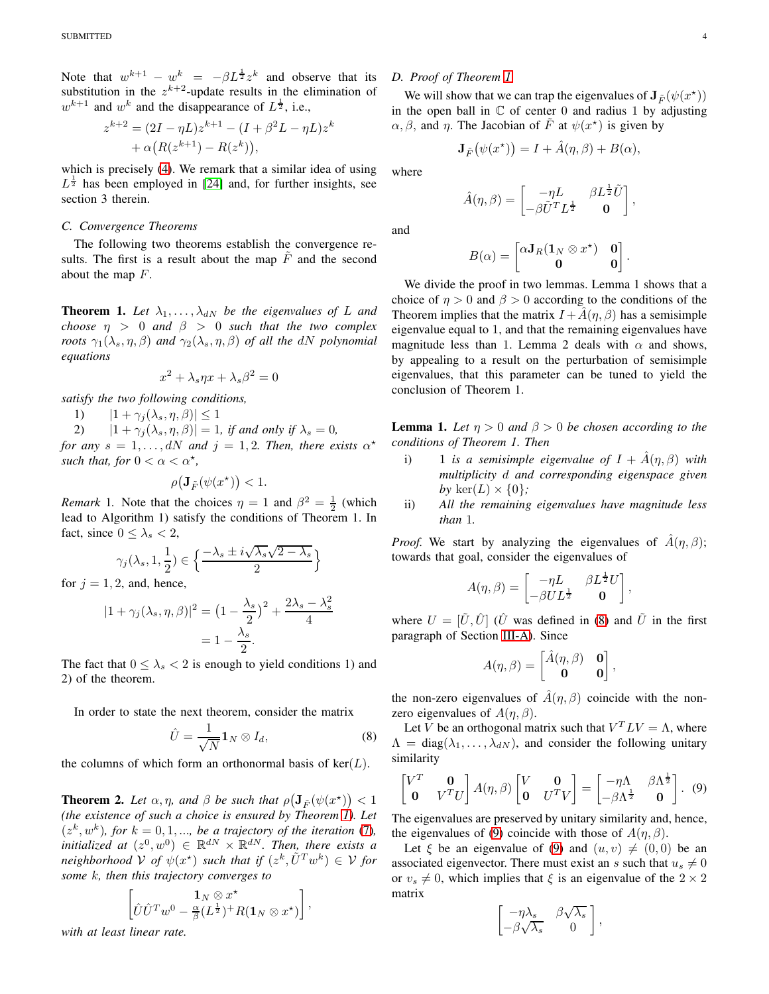Note that  $w^{k+1} - w^k = -\beta L^{\frac{1}{2}} z^k$  and observe that its substitution in the  $z^{k+2}$ -update results in the elimination of  $w^{k+1}$  and  $w^k$  and the disappearance of  $L^{\frac{1}{2}}$ , i.e.,

$$
z^{k+2} = (2I - \eta L)z^{k+1} - (I + \beta^2 L - \eta L)z^k + \alpha (R(z^{k+1}) - R(z^k)),
$$

which is precisely [\(4\)](#page-2-1). We remark that a similar idea of using  $L^{\frac{1}{2}}$  has been employed in [\[24\]](#page-6-23) and, for further insights, see section 3 therein.

## <span id="page-3-0"></span>*C. Convergence Theorems*

The following two theorems establish the convergence results. The first is a result about the map  $F$  and the second about the map  $F$ .

<span id="page-3-2"></span>**Theorem 1.** Let  $\lambda_1, \ldots, \lambda_{dN}$  be the eigenvalues of L and *choose*  $\eta > 0$  *and*  $\beta > 0$  *such that the two complex roots*  $\gamma_1(\lambda_s, \eta, \beta)$  *and*  $\gamma_2(\lambda_s, \eta, \beta)$  *of all the dN polynomial equations*

$$
x^2 + \lambda_s \eta x + \lambda_s \beta^2 = 0
$$

*satisfy the two following conditions,*

1)  $|1 + \gamma_j(\lambda_s, \eta, \beta)| \le 1$ <br>2)  $|1 + \gamma_i(\lambda_s, \eta, \beta)| = 1$ 

 $|1 + \gamma_j(\lambda_s, \eta, \beta)| = 1$ *, if and only if*  $\lambda_s = 0$ *,* 

*for any*  $s = 1, \ldots, dN$  *and*  $j = 1, 2$ *. Then, there exists*  $\alpha^*$ *such that, for*  $0 < \alpha < \alpha^*$ ,

$$
\rho\big(\mathbf{J}_{\tilde{F}}(\psi(x^\star))\big) < 1.
$$

*Remark* 1. Note that the choices  $\eta = 1$  and  $\beta^2 = \frac{1}{2}$  (which lead to Algorithm 1) satisfy the conditions of Theorem 1. In fact, since  $0 \leq \lambda_s \leq 2$ ,

$$
\gamma_j(\lambda_s, 1, \frac{1}{2}) \in \Big\{ \frac{-\lambda_s \pm i \sqrt{\lambda_s} \sqrt{2 - \lambda_s}}{2} \Big\}
$$

for  $j = 1, 2$ , and, hence,

$$
|1 + \gamma_j(\lambda_s, \eta, \beta)|^2 = \left(1 - \frac{\lambda_s}{2}\right)^2 + \frac{2\lambda_s - \lambda_s^2}{4}
$$

$$
= 1 - \frac{\lambda_s}{2}.
$$

The fact that  $0 \leq \lambda_s < 2$  is enough to yield conditions 1) and 2) of the theorem.

In order to state the next theorem, consider the matrix

$$
\hat{U} = \frac{1}{\sqrt{N}} \mathbf{1}_N \otimes I_d,\tag{8}
$$

the columns of which form an orthonormal basis of  $ker(L)$ .

<span id="page-3-1"></span>**Theorem 2.** Let  $\alpha, \eta$ , and  $\beta$  be such that  $\rho(\mathbf{J}_{\tilde{F}}(\psi(x^*)) < 1$ *(the existence of such a choice is ensured by Theorem [1\)](#page-3-2). Let*  $(z^k, w^k)$ *, for*  $k = 0, 1, \dots$ *, be a trajectory of the iteration* [\(7\)](#page-2-3)*, initialized at*  $(z^0, w^0) \in \mathbb{R}^{dN} \times \mathbb{R}^{dN}$ . *Then, there exists a neighborhood*  $V$  *of*  $\psi(x^*)$  *such that if*  $(z^k, \tilde{U}^T w^k) \in V$  *for some* k*, then this trajectory converges to*

$$
\left[\hat{U}\hat{U}^T w^0 - \frac{\mathbf{1}_N \otimes x^\star}{\beta (L^{\frac{1}{2}})^+ R(\mathbf{1}_N \otimes x^\star)}\right],
$$

*with at least linear rate.*

# <span id="page-3-5"></span>*D. Proof of Theorem [1](#page-3-2)*

We will show that we can trap the eigenvalues of  $J_{\tilde{F}}(\psi(x^*))$ in the open ball in  $\mathbb C$  of center 0 and radius 1 by adjusting  $\alpha, \beta$ , and  $\eta$ . The Jacobian of  $\tilde{F}$  at  $\psi(x^*)$  is given by

$$
\mathbf{J}_{\tilde{F}}(\psi(x^{\star})) = I + \hat{A}(\eta, \beta) + B(\alpha),
$$

where

$$
\hat{A}(\eta,\beta) = \begin{bmatrix} -\eta L & \beta L^{\frac{1}{2}} \tilde{U} \\ -\beta \tilde{U}^T L^{\frac{1}{2}} & \mathbf{0} \end{bmatrix},
$$

and

$$
B(\alpha) = \begin{bmatrix} \alpha \mathbf{J}_R (\mathbf{1}_N \otimes x^{\star}) & \mathbf{0} \\ \mathbf{0} & \mathbf{0} \end{bmatrix}.
$$

We divide the proof in two lemmas. Lemma 1 shows that a choice of  $\eta > 0$  and  $\beta > 0$  according to the conditions of the Theorem implies that the matrix  $I + A(\eta, \beta)$  has a semisimple eigenvalue equal to 1, and that the remaining eigenvalues have magnitude less than 1. Lemma 2 deals with  $\alpha$  and shows, by appealing to a result on the perturbation of semisimple eigenvalues, that this parameter can be tuned to yield the conclusion of Theorem 1.

**Lemma 1.** Let  $\eta > 0$  and  $\beta > 0$  be chosen according to the *conditions of Theorem 1. Then*

- i) 1 *is a semisimple eigenvalue of*  $I + \hat{A}(\eta, \beta)$  *with multiplicity* d *and corresponding eigenspace given* by  $\ker(L) \times \{0\}$ ;
- ii) *All the remaining eigenvalues have magnitude less than* 1*.*

*Proof.* We start by analyzing the eigenvalues of  $\hat{A}(\eta, \beta)$ ; towards that goal, consider the eigenvalues of

$$
A(\eta, \beta) = \begin{bmatrix} -\eta L & \beta L^{\frac{1}{2}} U \\ -\beta U L^{\frac{1}{2}} & \mathbf{0} \end{bmatrix},
$$

where  $U = [\tilde{U}, \hat{U}]$  ( $\hat{U}$  was defined in [\(8\)](#page-3-3) and  $\tilde{U}$  in the first paragraph of Section [III-A\)](#page-2-6). Since

$$
A(\eta,\beta) = \begin{bmatrix} \hat{A}(\eta,\beta) & \mathbf{0} \\ \mathbf{0} & \mathbf{0} \end{bmatrix},
$$

the non-zero eigenvalues of  $\hat{A}(\eta,\beta)$  coincide with the nonzero eigenvalues of  $A(\eta, \beta)$ .

<span id="page-3-3"></span>Let V be an orthogonal matrix such that  $V^T L V = \Lambda$ , where  $\Lambda = \text{diag}(\lambda_1, \dots, \lambda_{dN})$ , and consider the following unitary similarity

$$
\begin{bmatrix} V^T & \mathbf{0} \\ \mathbf{0} & V^T U \end{bmatrix} A(\eta, \beta) \begin{bmatrix} V & \mathbf{0} \\ \mathbf{0} & U^T V \end{bmatrix} = \begin{bmatrix} -\eta \Lambda & \beta \Lambda^{\frac{1}{2}} \\ -\beta \Lambda^{\frac{1}{2}} & \mathbf{0} \end{bmatrix} . \tag{9}
$$

The eigenvalues are preserved by unitary similarity and, hence, the eigenvalues of [\(9\)](#page-3-4) coincide with those of  $A(\eta, \beta)$ .

Let  $\xi$  be an eigenvalue of [\(9\)](#page-3-4) and  $(u, v) \neq (0, 0)$  be an associated eigenvector. There must exist an s such that  $u_s \neq 0$ or  $v_s \neq 0$ , which implies that  $\xi$  is an eigenvalue of the  $2 \times 2$ matrix

<span id="page-3-4"></span>
$$
\begin{bmatrix} -\eta \lambda_s & \beta \sqrt{\lambda_s} \\ -\beta \sqrt{\lambda_s} & 0 \end{bmatrix},
$$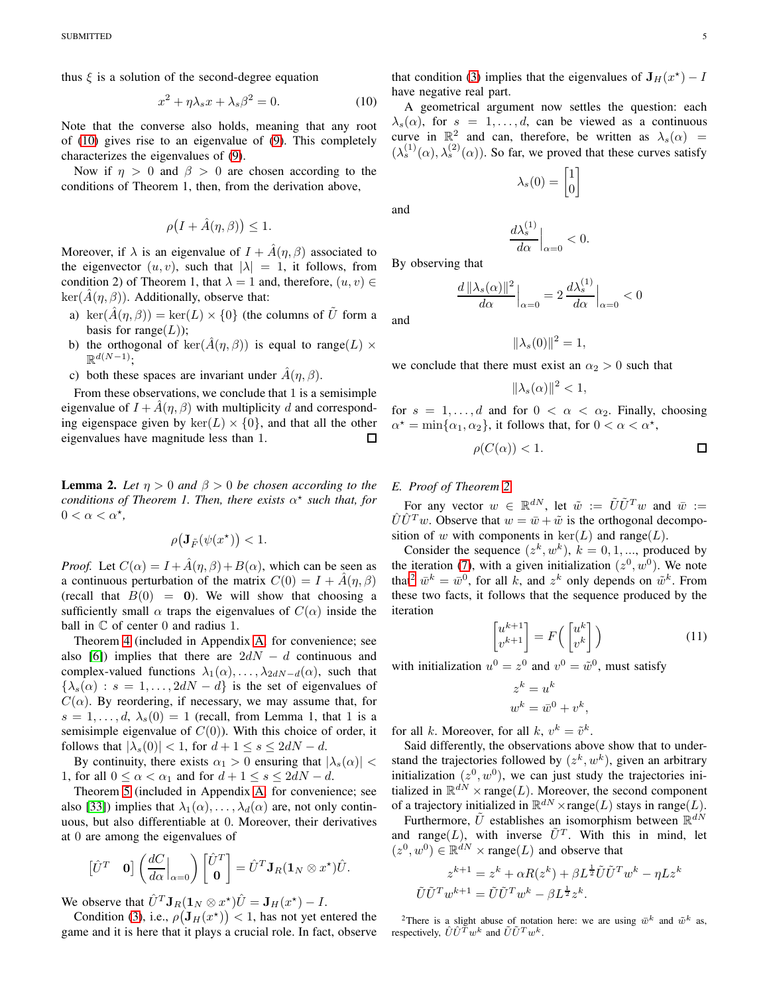thus  $\xi$  is a solution of the second-degree equation

$$
x^2 + \eta \lambda_s x + \lambda_s \beta^2 = 0. \tag{10}
$$

Note that the converse also holds, meaning that any root of [\(10\)](#page-4-0) gives rise to an eigenvalue of [\(9\)](#page-3-4). This completely characterizes the eigenvalues of [\(9\)](#page-3-4).

Now if  $\eta > 0$  and  $\beta > 0$  are chosen according to the conditions of Theorem 1, then, from the derivation above,

$$
\rho\big(I+\hat{A}(\eta,\beta)\big)\leq 1.
$$

Moreover, if  $\lambda$  is an eigenvalue of  $I + \hat{A}(\eta, \beta)$  associated to the eigenvector  $(u, v)$ , such that  $|\lambda| = 1$ , it follows, from condition 2) of Theorem 1, that  $\lambda = 1$  and, therefore,  $(u, v) \in$  $\ker(\tilde{A}(\eta,\beta))$ . Additionally, observe that:

- a) ker $(\hat{A}(\eta,\beta)) = \ker(L) \times \{0\}$  (the columns of U form a basis for range $(L)$ );
- b) the orthogonal of  $\text{ker}(\hat{A}(\eta,\beta))$  is equal to range(L)  $\times$  $\mathbb{R}^{d(N-1)};$
- c) both these spaces are invariant under  $A(\eta, \beta)$ .

From these observations, we conclude that 1 is a semisimple eigenvalue of  $I + \hat{A}(\eta, \beta)$  with multiplicity d and corresponding eigenspace given by  $\ker(L) \times \{0\}$ , and that all the other eigenvalues have magnitude less than 1. eigenvalues have magnitude less than 1.

**Lemma 2.** Let  $\eta > 0$  and  $\beta > 0$  be chosen according to the *conditions of Theorem 1. Then, there exists* α ⋆ *such that, for*  $0 < \alpha < \alpha^*$ ,

$$
\rho\big({\mathbf J}_{\tilde F}(\psi(x^\star)\big)<1.
$$

*Proof.* Let  $C(\alpha) = I + \hat{A}(\eta, \beta) + B(\alpha)$ , which can be seen as a continuous perturbation of the matrix  $C(0) = I + \hat{A}(\eta, \beta)$ (recall that  $B(0) = 0$ ). We will show that choosing a sufficiently small  $\alpha$  traps the eigenvalues of  $C(\alpha)$  inside the ball in  $\mathbb C$  of center 0 and radius 1.

Theorem [4](#page-5-4) (included in Appendix [A,](#page-5-0) for convenience; see also [\[6\]](#page-6-5)) implies that there are  $2dN - d$  continuous and complex-valued functions  $\lambda_1(\alpha), \ldots, \lambda_{2dN-d}(\alpha)$ , such that  $\{\lambda_s(\alpha): s = 1, \ldots, 2dN - d\}$  is the set of eigenvalues of  $C(\alpha)$ . By reordering, if necessary, we may assume that, for  $s = 1, \ldots, d, \lambda_s(0) = 1$  (recall, from Lemma 1, that 1 is a semisimple eigenvalue of  $C(0)$ ). With this choice of order, it follows that  $|\lambda_s(0)| < 1$ , for  $d+1 \leq s \leq 2dN - d$ .

By continuity, there exists  $\alpha_1 > 0$  ensuring that  $|\lambda_s(\alpha)| <$ 1, for all  $0 \leq \alpha < \alpha_1$  and for  $d+1 \leq s \leq 2dN - d$ .

Theorem [5](#page-5-5) (included in Appendix [A,](#page-5-0) for convenience; see also [\[33\]](#page-6-32)) implies that  $\lambda_1(\alpha), \ldots, \lambda_d(\alpha)$  are, not only continuous, but also differentiable at 0. Moreover, their derivatives at 0 are among the eigenvalues of

$$
\begin{bmatrix} \hat{U}^T & \mathbf{0} \end{bmatrix} \left( \frac{dC}{d\alpha} \Big|_{\alpha=0} \right) \begin{bmatrix} \hat{U}^T \\ \mathbf{0} \end{bmatrix} = \hat{U}^T \mathbf{J}_R (\mathbf{1}_N \otimes x^*) \hat{U}.
$$

We observe that  $\hat{U}^T \mathbf{J}_R(\mathbf{1}_N \otimes x^{\star}) \hat{U} = \mathbf{J}_H(x^{\star}) - I$ .

Condition [\(3\)](#page-0-1), i.e.,  $\rho(\mathbf{J}_H(x^*))$  < 1, has not yet entered the game and it is here that it plays a crucial role. In fact, observe that condition [\(3\)](#page-0-1) implies that the eigenvalues of  $J_H(x^*) - I$ 

A geometrical argument now settles the question: each  $\lambda_s(\alpha)$ , for  $s = 1, \ldots, d$ , can be viewed as a continuous curve in  $\mathbb{R}^2$  and can, therefore, be written as  $\lambda_s(\alpha)$  =  $(\lambda_s^{(1)}(\alpha), \lambda_s^{(2)}(\alpha))$ . So far, we proved that these curves satisfy

$$
\lambda_s(0) = \begin{bmatrix} 1 \\ 0 \end{bmatrix}
$$

and

and

$$
\left. \frac{d\lambda_s^{(1)}}{d\alpha} \right|_{\alpha=0} < 0.
$$

By observing that

<span id="page-4-0"></span>have negative real part.

$$
\frac{d \|\lambda_s(\alpha)\|^2}{d\alpha}\Big|_{\alpha=0} = 2 \frac{d\lambda_s^{(1)}}{d\alpha}\Big|_{\alpha=0} < 0
$$

$$
\|\lambda_s(0)\|^2=1,
$$

we conclude that there must exist an  $\alpha_2 > 0$  such that

$$
\|\lambda_s(\alpha)\|^2 < 1,
$$

for  $s = 1, \ldots, d$  and for  $0 < \alpha < \alpha_2$ . Finally, choosing  $\alpha^* = \min\{\alpha_1, \alpha_2\}$ , it follows that, for  $0 < \alpha < \alpha^*$ ,

$$
\rho(C(\alpha)) < 1. \tag{}
$$

## <span id="page-4-2"></span>*E. Proof of Theorem [2](#page-3-1)*

For any vector  $w \in \mathbb{R}^{dN}$ , let  $\tilde{w} := \tilde{U}\tilde{U}^Tw$  and  $\bar{w} :=$  $\hat{U}\hat{U}^T w$ . Observe that  $w = \bar{w} + \tilde{w}$  is the orthogonal decomposition of w with components in  $\ker(L)$  and range(L).

Consider the sequence  $(z^k, w^k)$ ,  $k = 0, 1, ...,$  produced by the iteration [\(7\)](#page-2-3), with a given initialization  $(z^0, w^0)$ . We note that<sup>[2](#page-4-1)</sup>  $\bar{w}^k = \bar{w}^0$ , for all k, and  $z^k$  only depends on  $\tilde{w}^k$ . From these two facts, it follows that the sequence produced by the iteration

$$
\begin{bmatrix} u^{k+1} \\ v^{k+1} \end{bmatrix} = F\left(\begin{bmatrix} u^k \\ v^k \end{bmatrix}\right) \tag{11}
$$

with initialization  $u^0 = z^0$  and  $v^0 = \tilde{w}^0$ , must satisfy

$$
z^k = u^k
$$
  

$$
w^k = \overline{w}^0 + v^k,
$$

for all k. Moreover, for all k,  $v^k = \tilde{v}^k$ .

Said differently, the observations above show that to understand the trajectories followed by  $(z^k, w^k)$ , given an arbitrary initialization  $(z^0, w^0)$ , we can just study the trajectories initialized in  $\mathbb{R}^{dN} \times \text{range}(L)$ . Moreover, the second component of a trajectory initialized in  $\mathbb{R}^{dN} \times \text{range}(L)$  stays in range $(L)$ .

Furthermore,  $\tilde{U}$  establishes an isomorphism between  $\mathbb{R}^{dN}$ and range(L), with inverse  $\tilde{U}^T$ . With this in mind, let  $(z^0, w^0) \in \mathbb{R}^{dN} \times \text{range}(L)$  and observe that

$$
z^{k+1} = z^k + \alpha R(z^k) + \beta L^{\frac{1}{2}} \tilde{U} \tilde{U}^T w^k - \eta L z^k
$$
  

$$
\tilde{U} \tilde{U}^T w^{k+1} = \tilde{U} \tilde{U}^T w^k - \beta L^{\frac{1}{2}} z^k.
$$

<span id="page-4-1"></span><sup>2</sup>There is a slight abuse of notation here: we are using  $\bar{w}^k$  and  $\tilde{w}^k$  as, respectively,  $\hat{U}\hat{U}^T w^k$  and  $\tilde{U}\tilde{U}^T w^k$ .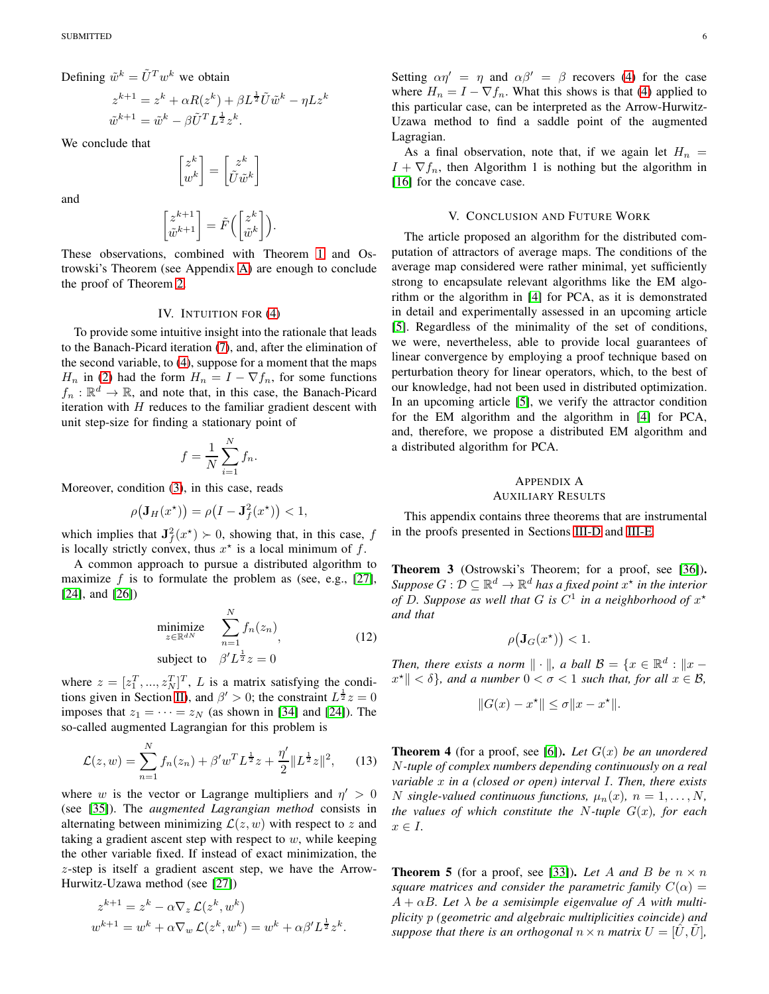Defining  $\tilde{w}^k = \tilde{U}^T w^k$  we obtain

$$
z^{k+1} = z^k + \alpha R(z^k) + \beta L^{\frac{1}{2}} \tilde{U} \tilde{w}^k - \eta L z^k
$$
  

$$
\tilde{w}^{k+1} = \tilde{w}^k - \beta \tilde{U}^T L^{\frac{1}{2}} z^k.
$$

We conclude that

$$
\begin{bmatrix} z^k \\ w^k \end{bmatrix} = \begin{bmatrix} z^k \\ \tilde{U}\tilde{w}^k \end{bmatrix}
$$

and

$$
\begin{bmatrix} z^{k+1} \\ \tilde{w}^{k+1} \end{bmatrix} = \tilde{F}\Big(\begin{bmatrix} z^k \\ \tilde{w}^k \end{bmatrix}\Big).
$$

These observations, combined with Theorem [1](#page-3-2) and Ostrowski's Theorem (see Appendix [A\)](#page-5-0) are enough to conclude the proof of Theorem [2.](#page-3-1)

## IV. INTUITION FOR [\(4\)](#page-2-1)

<span id="page-5-1"></span>To provide some intuitive insight into the rationale that leads to the Banach-Picard iteration [\(7\)](#page-2-3), and, after the elimination of the second variable, to [\(4\)](#page-2-1), suppose for a moment that the maps  $H_n$  in [\(2\)](#page-0-2) had the form  $H_n = I - \nabla f_n$ , for some functions  $f_n : \mathbb{R}^d \to \mathbb{R}$ , and note that, in this case, the Banach-Picard iteration with  $H$  reduces to the familiar gradient descent with unit step-size for finding a stationary point of

$$
f = \frac{1}{N} \sum_{i=1}^{N} f_n.
$$

Moreover, condition [\(3\)](#page-0-1), in this case, reads

$$
\rho(\mathbf{J}_H(x^{\star})) = \rho(I - \mathbf{J}_f^2(x^{\star})) < 1,
$$

which implies that  $J_f^2(x^*) \succ 0$ , showing that, in this case, f is locally strictly convex, thus  $x^*$  is a local minimum of f.

A common approach to pursue a distributed algorithm to maximize  $f$  is to formulate the problem as (see, e.g., [\[27\]](#page-6-26), [\[24\]](#page-6-23), and [\[26\]](#page-6-25))

$$
\begin{array}{ll}\text{minimize} & \sum_{z \in \mathbb{R}^{dN}}^{N} f_n(z_n) \\ \text{subject to} & \beta' L^{\frac{1}{2}} z = 0 \end{array} \tag{12}
$$

where  $z = [z_1^T, ..., z_N^T]^T$ , L is a matrix satisfying the condi-tions given in Section [II\)](#page-1-0), and  $\beta' > 0$ ; the constraint  $L^{\frac{1}{2}}z = 0$ imposes that  $z_1 = \cdots = z_N$  (as shown in [\[34\]](#page-6-33) and [\[24\]](#page-6-23)). The so-called augmented Lagrangian for this problem is

$$
\mathcal{L}(z, w) = \sum_{n=1}^{N} f_n(z_n) + \beta' w^T L^{\frac{1}{2}} z + \frac{\eta'}{2} \| L^{\frac{1}{2}} z \|^2, \qquad (13)
$$

where w is the vector or Lagrange multipliers and  $\eta' > 0$ (see [\[35\]](#page-6-34)). The *augmented Lagrangian method* consists in alternating between minimizing  $\mathcal{L}(z, w)$  with respect to z and taking a gradient ascent step with respect to  $w$ , while keeping the other variable fixed. If instead of exact minimization, the z-step is itself a gradient ascent step, we have the Arrow-Hurwitz-Uzawa method (see [\[27\]](#page-6-26))

$$
z^{k+1} = z^k - \alpha \nabla_z \mathcal{L}(z^k, w^k)
$$
  

$$
w^{k+1} = w^k + \alpha \nabla_w \mathcal{L}(z^k, w^k) = w^k + \alpha \beta' L^{\frac{1}{2}} z^k.
$$

Setting  $\alpha \eta' = \eta$  and  $\alpha \beta' = \beta$  recovers [\(4\)](#page-2-1) for the case where  $H_n = I - \nabla f_n$ . What this shows is that [\(4\)](#page-2-1) applied to this particular case, can be interpreted as the Arrow-Hurwitz-Uzawa method to find a saddle point of the augmented Lagragian.

As a final observation, note that, if we again let  $H_n =$  $I + \nabla f_n$ , then Algorithm 1 is nothing but the algorithm in [\[16\]](#page-6-15) for the concave case.

#### V. CONCLUSION AND FUTURE WORK

<span id="page-5-2"></span>The article proposed an algorithm for the distributed computation of attractors of average maps. The conditions of the average map considered were rather minimal, yet sufficiently strong to encapsulate relevant algorithms like the EM algorithm or the algorithm in [\[4\]](#page-6-3) for PCA, as it is demonstrated in detail and experimentally assessed in an upcoming article [\[5\]](#page-6-4). Regardless of the minimality of the set of conditions, we were, nevertheless, able to provide local guarantees of linear convergence by employing a proof technique based on perturbation theory for linear operators, which, to the best of our knowledge, had not been used in distributed optimization. In an upcoming article [\[5\]](#page-6-4), we verify the attractor condition for the EM algorithm and the algorithm in [\[4\]](#page-6-3) for PCA, and, therefore, we propose a distributed EM algorithm and a distributed algorithm for PCA.

# <span id="page-5-0"></span>APPENDIX A

#### AUXILIARY RESULTS

This appendix contains three theorems that are instrumental in the proofs presented in Sections [III-D](#page-3-5) and [III-E.](#page-4-2)

<span id="page-5-3"></span>Theorem 3 (Ostrowski's Theorem; for a proof, see [\[36\]](#page-6-35)).  $Suppose\ G:\mathcal D\subseteq \mathbb R^d\to \mathbb R^d$  has a fixed point  $x^\star$  in the interior of D. Suppose as well that G is  $C^1$  in a neighborhood of  $x^*$ *and that*

$$
\rho(\mathbf{J}_G(x^*)) < 1.
$$

*Then, there exists a norm*  $\|\cdot\|$ *, a ball*  $\mathcal{B} = \{x \in \mathbb{R}^d : \|x - x\| \leq \sqrt{d}\}$  $\|x^*\| < \delta$ , and a number  $0 < \sigma < 1$  such that, for all  $x \in \mathcal{B}$ ,

$$
||G(x) - x^*|| \le \sigma ||x - x^*||.
$$

<span id="page-5-4"></span>**Theorem 4** (for a proof, see [\[6\]](#page-6-5)). Let  $G(x)$  be an unordered N*-tuple of complex numbers depending continuously on a real variable* x *in a (closed or open) interval* I*. Then, there exists* N single-valued continuous functions,  $\mu_n(x)$ ,  $n = 1, \ldots, N$ , *the values of which constitute the N-tuple*  $G(x)$ *, for each*  $x \in I$ .

<span id="page-5-5"></span>**Theorem 5** (for a proof, see [\[33\]](#page-6-32)). Let A and B be  $n \times n$ *square matrices and consider the parametric family*  $C(\alpha)$  =  $A + \alpha B$ *. Let*  $\lambda$  *be a semisimple eigenvalue of*  $A$  *with multiplicity* p *(geometric and algebraic multiplicities coincide) and suppose that there is an orthogonal*  $n \times n$  *matrix*  $U = [\hat{U}, \hat{U}]$ *,*